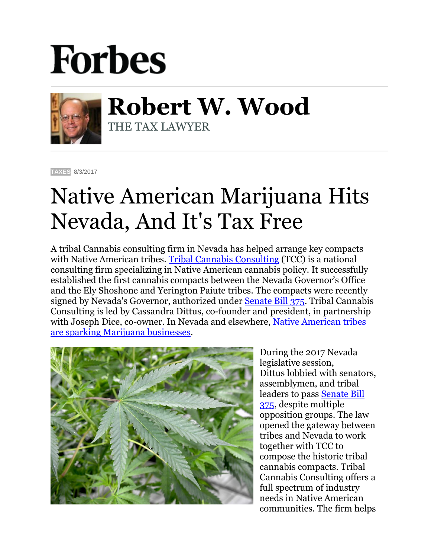## **Forbes**



**Robert W. Wood** THE TAX LAWYER

**[TAXES](https://www.forbes.com/taxes)** 8/3/2017

## Native American Marijuana Hits Nevada, And It's Tax Free

A tribal Cannabis consulting firm in Nevada has helped arrange key compacts with Native American tribes. [Tribal Cannabis Consulting](http://www.tribalcannabisconsulting.com/) (TCC) is a national consulting firm specializing in Native American cannabis policy. It successfully established the first cannabis compacts between the Nevada Governor's Office and the Ely Shoshone and Yerington Paiute tribes. The compacts were recently signed by Nevada's Governor, authorized under [Senate Bill 375.](https://www.leg.state.nv.us/Session/79th2017/Bills/SB/SB375_EN.pdf) Tribal Cannabis Consulting is led by Cassandra Dittus, co-founder and president, in partnership with Joseph Dice, co-owner. In Nevada and elsewhere, Native American tribes are [sparking Marijuana businesses.](https://www.google.com/url?sa=t&rct=j&q=&esrc=s&source=web&cd=1&cad=rja&uact=8&ved=0ahUKEwijo57-n7rVAhWLMyYKHfQdCVQQFggmMAA&url=https%3A%2F%2Fwww.forbes.com%2Fsites%2Frobertwood%2F2017%2F06%2F06%2Fpot-casino-native-american-tribe-sparks-marijuana-business-tax-free%2F&usg=AFQjCNEYDsRd0TJ-ygTAAl4UiY7W-aAw9A)



During the 2017 Nevada legislative session, Dittus lobbied with senators, assemblymen, and tribal leaders to pass [Senate Bill](https://www.leg.state.nv.us/Session/79th2017/Bills/SB/SB375_EN.pdf)  [375,](https://www.leg.state.nv.us/Session/79th2017/Bills/SB/SB375_EN.pdf) despite multiple opposition groups. The law opened the gateway between tribes and Nevada to work together with TCC to compose the historic tribal cannabis compacts. Tribal Cannabis Consulting offers a full spectrum of industry needs in Native American communities. The firm helps